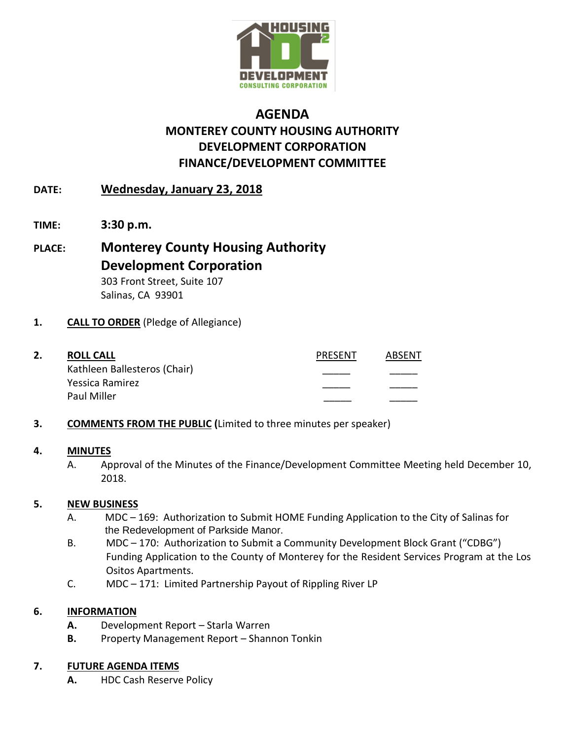

# **AGENDA MONTEREY COUNTY HOUSING AUTHORITY DEVELOPMENT CORPORATION FINANCE/DEVELOPMENT COMMITTEE**

## **DATE: Wednesday, January 23, 2018**

- **TIME: 3:30 p.m.**
- **PLACE: Monterey County Housing Authority Development Corporation** 303 Front Street, Suite 107 Salinas, CA 93901

### **1. CALL TO ORDER** (Pledge of Allegiance)

|  | <b>ROLL CALL</b>             | <b>PRESENT</b> | ABSFNT |
|--|------------------------------|----------------|--------|
|  | Kathleen Ballesteros (Chair) |                |        |
|  | Yessica Ramirez              |                |        |
|  | Paul Miller                  |                |        |

### **3. COMMENTS FROM THE PUBLIC (**Limited to three minutes per speaker)

#### **4. MINUTES**

A. Approval of the Minutes of the Finance/Development Committee Meeting held December 10, 2018.

### **5. NEW BUSINESS**

- A. MDC 169: Authorization to Submit HOME Funding Application to the City of Salinas for the Redevelopment of Parkside Manor.
- B. MDC 170: Authorization to Submit a Community Development Block Grant ("CDBG") Funding Application to the County of Monterey for the Resident Services Program at the Los Ositos Apartments.
- C. MDC 171: Limited Partnership Payout of Rippling River LP

### **6. INFORMATION**

- **A.** Development Report Starla Warren
- **B.** Property Management Report Shannon Tonkin

## **7. FUTURE AGENDA ITEMS**

**A.** HDC Cash Reserve Policy